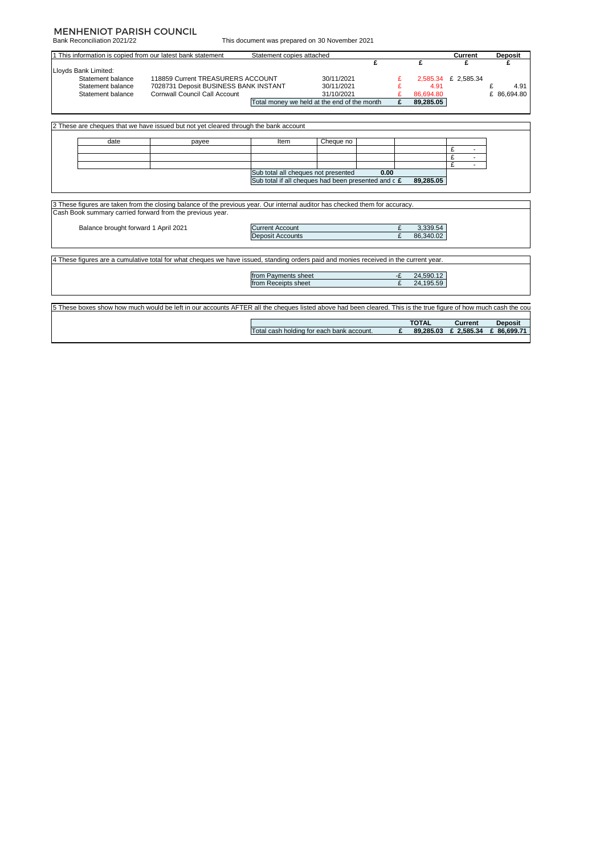#### MENHENIOT PARISH COUNCIL

Bank Reconciliation 2021/22

This document was prepared on 30 November 2021

|                                      | 1 This information is copied from our latest bank statement                                                                                                                               | Statement copies attached |                                                     |      |                           | Current                       | <b>Deposit</b>                |
|--------------------------------------|-------------------------------------------------------------------------------------------------------------------------------------------------------------------------------------------|---------------------------|-----------------------------------------------------|------|---------------------------|-------------------------------|-------------------------------|
|                                      |                                                                                                                                                                                           |                           |                                                     | £    | £                         | £                             | £                             |
| Lloyds Bank Limited:                 |                                                                                                                                                                                           |                           |                                                     |      |                           |                               |                               |
| Statement balance                    | 118859 Current TREASURERS ACCOUNT                                                                                                                                                         |                           | 30/11/2021                                          |      | 2.585.34                  | £ 2,585.34                    |                               |
| Statement balance                    | 7028731 Deposit BUSINESS BANK INSTANT                                                                                                                                                     |                           | 30/11/2021                                          |      | 4.91                      |                               | £<br>4.91                     |
| Statement balance                    | Cornwall Council Call Account                                                                                                                                                             |                           | 31/10/2021                                          |      | 86,694.80                 |                               | £ 86,694.80                   |
|                                      |                                                                                                                                                                                           |                           | Total money we held at the end of the month         | £    | 89,285.05                 |                               |                               |
|                                      |                                                                                                                                                                                           |                           |                                                     |      |                           |                               |                               |
|                                      |                                                                                                                                                                                           |                           |                                                     |      |                           |                               |                               |
|                                      | 2 These are cheques that we have issued but not yet cleared through the bank account                                                                                                      |                           |                                                     |      |                           |                               |                               |
| date                                 | payee                                                                                                                                                                                     | Item                      | Cheque no                                           |      |                           |                               |                               |
|                                      |                                                                                                                                                                                           |                           |                                                     |      |                           | £<br>$\overline{\phantom{a}}$ |                               |
|                                      |                                                                                                                                                                                           |                           |                                                     |      |                           | F<br>$\overline{\phantom{a}}$ |                               |
|                                      |                                                                                                                                                                                           |                           |                                                     |      |                           | £<br>$\overline{\phantom{a}}$ |                               |
|                                      |                                                                                                                                                                                           |                           | Sub total all cheques not presented                 | 0.00 |                           |                               |                               |
|                                      |                                                                                                                                                                                           |                           | Sub total if all cheques had been presented and c £ |      | 89.285.05                 |                               |                               |
|                                      |                                                                                                                                                                                           |                           |                                                     |      |                           |                               |                               |
|                                      |                                                                                                                                                                                           |                           |                                                     |      |                           |                               |                               |
|                                      | 3 These figures are taken from the closing balance of the previous year. Our internal auditor has checked them for accuracy.<br>Cash Book summary carried forward from the previous year. |                           |                                                     |      |                           |                               |                               |
| Balance brought forward 1 April 2021 |                                                                                                                                                                                           | <b>Current Account</b>    |                                                     | £    | 3,339.54                  |                               |                               |
|                                      |                                                                                                                                                                                           | <b>Deposit Accounts</b>   |                                                     | £    | 86,340.02                 |                               |                               |
|                                      |                                                                                                                                                                                           |                           |                                                     |      |                           |                               |                               |
|                                      | 4 These figures are a cumulative total for what cheques we have issued, standing orders paid and monies received in the current year.                                                     |                           |                                                     |      |                           |                               |                               |
|                                      |                                                                                                                                                                                           |                           |                                                     |      |                           |                               |                               |
|                                      |                                                                                                                                                                                           | from Payments sheet       |                                                     | -£   | 24,590.12                 |                               |                               |
|                                      |                                                                                                                                                                                           | from Receipts sheet       |                                                     | £    | 24,195.59                 |                               |                               |
|                                      |                                                                                                                                                                                           |                           |                                                     |      |                           |                               |                               |
|                                      | 5 These boxes show how much would be left in our accounts AFTER all the cheques listed above had been cleared. This is the true figure of how much cash the cou                           |                           |                                                     |      |                           |                               |                               |
|                                      |                                                                                                                                                                                           |                           |                                                     |      |                           |                               |                               |
|                                      |                                                                                                                                                                                           |                           | Total cash holding for each bank account.           | £    | <b>TOTAL</b><br>89.285.03 | <b>Current</b><br>£ 2,585.34  | <b>Deposit</b><br>£ 86,699.71 |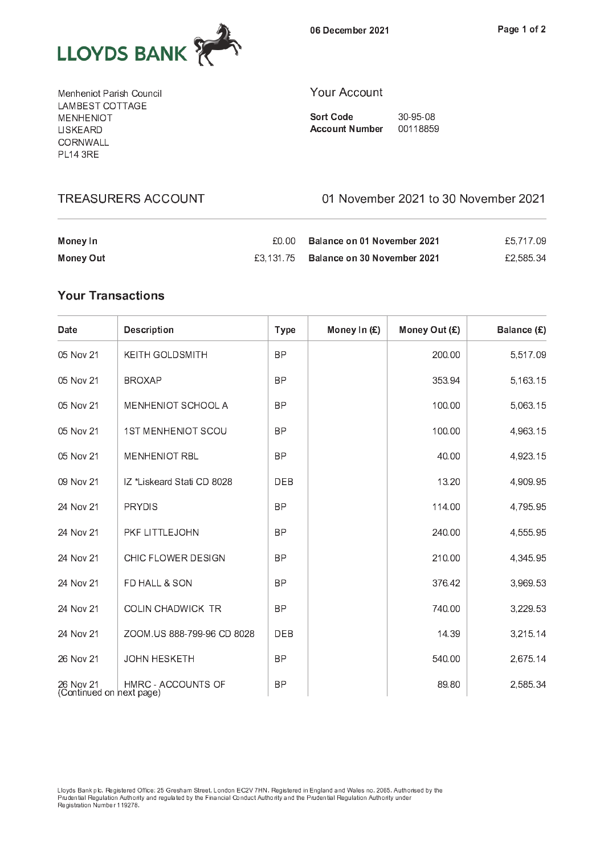

06 December 2021

Menheniot Parish Council LAMBEST COTTAGE **MENHENIOT LISKEARD CORNWALL PL14 3RE** 

#### Your Account

**Sort Code** 30-95-08 Account Number 00118859

### TREASURERS ACCOUNT 01 November 2021 to 30 November 2021

| Money In         | .co oo    | Balance on 01 November 2021 | £5.717.09 |
|------------------|-----------|-----------------------------|-----------|
| <b>Money Out</b> | £3.131.75 | Balance on 30 November 2021 | £2.585.34 |

# **Your Transactions**

| Date                                  | <b>Description</b>         | <b>Type</b> | Money In (£) | Money Out (£) | Balance (£) |
|---------------------------------------|----------------------------|-------------|--------------|---------------|-------------|
| 05 Nov 21                             | <b>KEITH GOLDSMITH</b>     | <b>BP</b>   |              | 200.00        | 5,517.09    |
| 05 Nov 21                             | <b>BROXAP</b>              | <b>BP</b>   |              | 353.94        | 5,163.15    |
| 05 Nov 21                             | MENHENIOT SCHOOL A         | <b>BP</b>   |              | 100.00        | 5,063.15    |
| 05 Nov 21                             | <b>1ST MENHENIOT SCOU</b>  | <b>BP</b>   |              | 100.00        | 4,963.15    |
| 05 Nov 21                             | MENHENIOT RBL              | <b>BP</b>   |              | 40.00         | 4,923.15    |
| 09 Nov 21                             | IZ *Liskeard Stati CD 8028 | <b>DEB</b>  |              | 13.20         | 4,909.95    |
| 24 Nov 21                             | <b>PRYDIS</b>              | <b>BP</b>   |              | 114.00        | 4,795.95    |
| 24 Nov 21                             | PKF LITTLEJOHN             | <b>BP</b>   |              | 240.00        | 4,555.95    |
| 24 Nov 21                             | CHIC FLOWER DESIGN         | <b>BP</b>   |              | 210.00        | 4,345.95    |
| 24 Nov 21                             | FD HALL & SON              | <b>BP</b>   |              | 376.42        | 3,969.53    |
| 24 Nov 21                             | COLIN CHADWICK TR          | <b>BP</b>   |              | 740.00        | 3,229.53    |
| 24 Nov 21                             | ZOOM.US 888-799-96 CD 8028 | <b>DEB</b>  |              | 14.39         | 3,215.14    |
| 26 Nov 21                             | <b>JOHN HESKETH</b>        | <b>BP</b>   |              | 540.00        | 2,675.14    |
| 26 Nov 21<br>(Continued on next page) | HMRC - ACCOUNTS OF         | <b>BP</b>   |              | 89.80         | 2,585.34    |

Lloyds Bank plc. Registered Office: 25 Gresham Street, London EC2V 7HN. Registered in England and Wales no. 2065. Authorised by th Registration Number 119278.